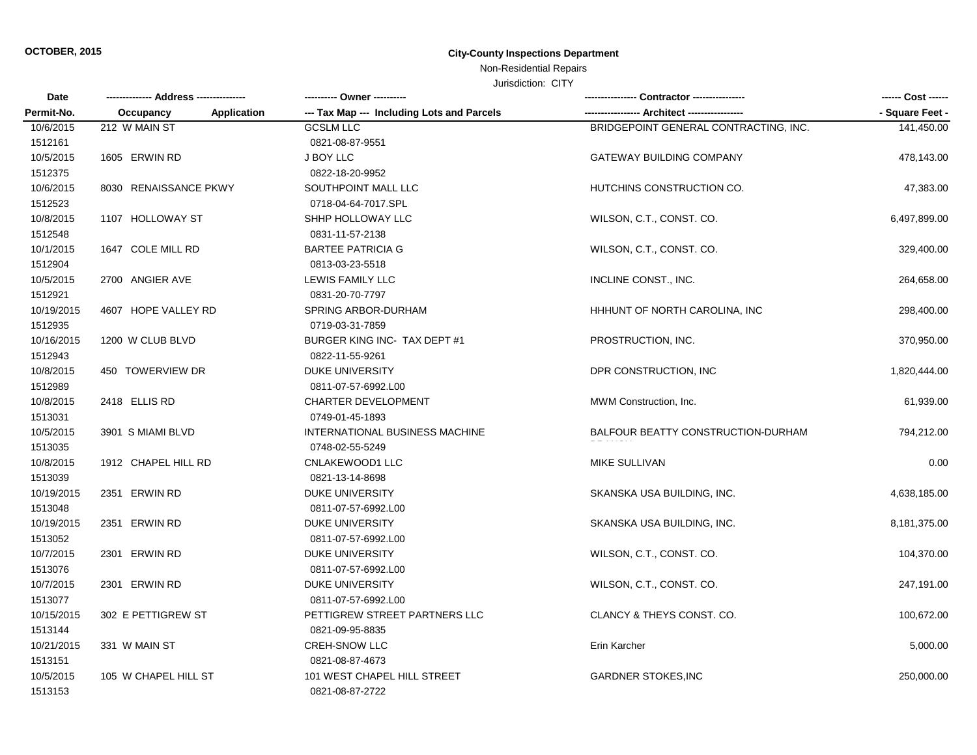# **OCTOBER, 2015 City-County Inspections Department**

# Non-Residential Repairs

Jurisdiction: CITY

| Date       |                       |                    | ---------- Owner ----------                |                                       | ------ Cost ------ |
|------------|-----------------------|--------------------|--------------------------------------------|---------------------------------------|--------------------|
| Permit-No. | Occupancy             | <b>Application</b> | --- Tax Map --- Including Lots and Parcels |                                       | - Square Feet -    |
| 10/6/2015  | 212 W MAIN ST         |                    | <b>GCSLM LLC</b>                           | BRIDGEPOINT GENERAL CONTRACTING, INC. | 141,450.00         |
| 1512161    |                       |                    | 0821-08-87-9551                            |                                       |                    |
| 10/5/2015  | 1605 ERWIN RD         |                    | J BOY LLC                                  | <b>GATEWAY BUILDING COMPANY</b>       | 478,143.00         |
| 1512375    |                       |                    | 0822-18-20-9952                            |                                       |                    |
| 10/6/2015  | 8030 RENAISSANCE PKWY |                    | SOUTHPOINT MALL LLC                        | HUTCHINS CONSTRUCTION CO.             | 47,383.00          |
| 1512523    |                       |                    | 0718-04-64-7017.SPL                        |                                       |                    |
| 10/8/2015  | 1107 HOLLOWAY ST      |                    | SHHP HOLLOWAY LLC                          | WILSON, C.T., CONST. CO.              | 6,497,899.00       |
| 1512548    |                       |                    | 0831-11-57-2138                            |                                       |                    |
| 10/1/2015  | 1647 COLE MILL RD     |                    | <b>BARTEE PATRICIA G</b>                   | WILSON, C.T., CONST. CO.              | 329,400.00         |
| 1512904    |                       |                    | 0813-03-23-5518                            |                                       |                    |
| 10/5/2015  | 2700 ANGIER AVE       |                    | LEWIS FAMILY LLC                           | INCLINE CONST., INC.                  | 264,658.00         |
| 1512921    |                       |                    | 0831-20-70-7797                            |                                       |                    |
| 10/19/2015 | 4607 HOPE VALLEY RD   |                    | SPRING ARBOR-DURHAM                        | HHHUNT OF NORTH CAROLINA, INC         | 298,400.00         |
| 1512935    |                       |                    | 0719-03-31-7859                            |                                       |                    |
| 10/16/2015 | 1200 W CLUB BLVD      |                    | BURGER KING INC- TAX DEPT #1               | PROSTRUCTION, INC.                    | 370,950.00         |
| 1512943    |                       |                    | 0822-11-55-9261                            |                                       |                    |
| 10/8/2015  | 450 TOWERVIEW DR      |                    | <b>DUKE UNIVERSITY</b>                     | DPR CONSTRUCTION, INC                 | 1,820,444.00       |
| 1512989    |                       |                    | 0811-07-57-6992.L00                        |                                       |                    |
| 10/8/2015  | 2418 ELLIS RD         |                    | <b>CHARTER DEVELOPMENT</b>                 | MWM Construction, Inc.                | 61,939.00          |
| 1513031    |                       |                    | 0749-01-45-1893                            |                                       |                    |
| 10/5/2015  | 3901 S MIAMI BLVD     |                    | INTERNATIONAL BUSINESS MACHINE             | BALFOUR BEATTY CONSTRUCTION-DURHAM    | 794,212.00         |
| 1513035    |                       |                    | 0748-02-55-5249                            |                                       |                    |
| 10/8/2015  | 1912 CHAPEL HILL RD   |                    | CNLAKEWOOD1 LLC                            | MIKE SULLIVAN                         | 0.00               |
| 1513039    |                       |                    | 0821-13-14-8698                            |                                       |                    |
| 10/19/2015 | 2351 ERWIN RD         |                    | <b>DUKE UNIVERSITY</b>                     | SKANSKA USA BUILDING, INC.            | 4,638,185.00       |
| 1513048    |                       |                    | 0811-07-57-6992.L00                        |                                       |                    |
| 10/19/2015 | 2351 ERWIN RD         |                    | <b>DUKE UNIVERSITY</b>                     | SKANSKA USA BUILDING, INC.            | 8,181,375.00       |
| 1513052    |                       |                    | 0811-07-57-6992.L00                        |                                       |                    |
| 10/7/2015  | 2301 ERWIN RD         |                    | DUKE UNIVERSITY                            | WILSON, C.T., CONST. CO.              | 104,370.00         |
| 1513076    |                       |                    | 0811-07-57-6992.L00                        |                                       |                    |
| 10/7/2015  | 2301 ERWIN RD         |                    | <b>DUKE UNIVERSITY</b>                     | WILSON, C.T., CONST. CO.              | 247,191.00         |
| 1513077    |                       |                    | 0811-07-57-6992.L00                        |                                       |                    |
| 10/15/2015 | 302 E PETTIGREW ST    |                    | PETTIGREW STREET PARTNERS LLC              | CLANCY & THEYS CONST. CO.             | 100,672.00         |
| 1513144    |                       |                    | 0821-09-95-8835                            |                                       |                    |
| 10/21/2015 | 331 W MAIN ST         |                    | CREH-SNOW LLC                              | Erin Karcher                          | 5,000.00           |
| 1513151    |                       |                    | 0821-08-87-4673                            |                                       |                    |
| 10/5/2015  | 105 W CHAPEL HILL ST  |                    | 101 WEST CHAPEL HILL STREET                | <b>GARDNER STOKES, INC</b>            | 250,000.00         |
| 1513153    |                       |                    | 0821-08-87-2722                            |                                       |                    |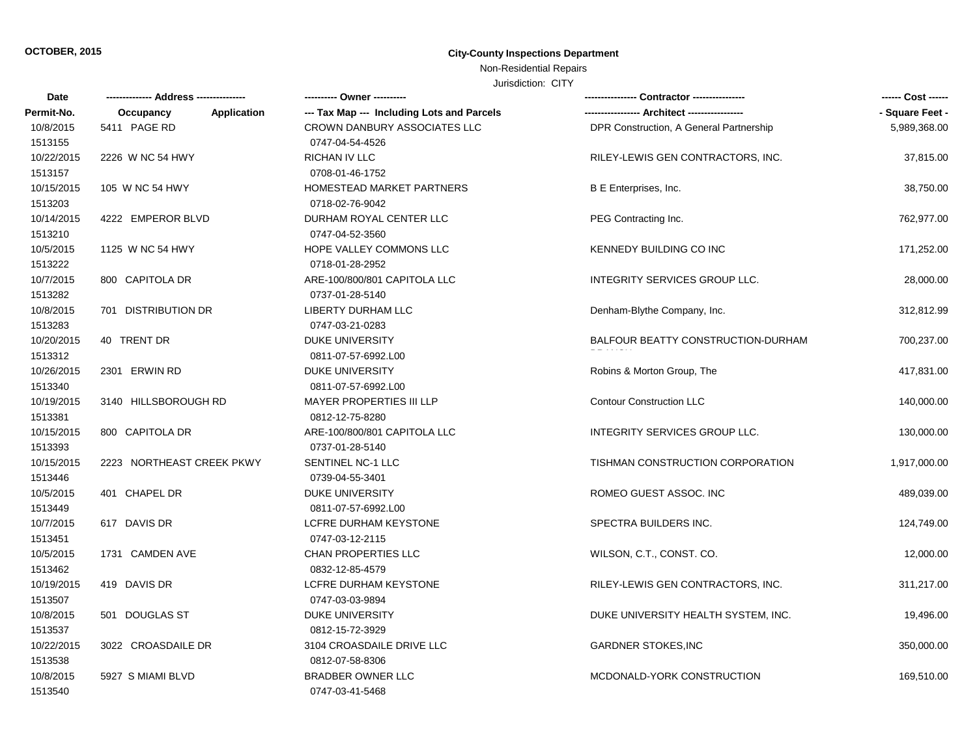#### **OCTOBER, 2015 City-County Inspections Department**

# Non-Residential Repairs

#### Jurisdiction: CITY

| Date       |                           | ---------- Owner ----------                |                                         | ------ Cost ------ |
|------------|---------------------------|--------------------------------------------|-----------------------------------------|--------------------|
| Permit-No. | Occupancy<br>Application  | --- Tax Map --- Including Lots and Parcels |                                         | - Square Feet -    |
| 10/8/2015  | 5411 PAGE RD              | CROWN DANBURY ASSOCIATES LLC               | DPR Construction, A General Partnership | 5,989,368.00       |
| 1513155    |                           | 0747-04-54-4526                            |                                         |                    |
| 10/22/2015 | 2226 W NC 54 HWY          | RICHAN IV LLC                              | RILEY-LEWIS GEN CONTRACTORS, INC.       | 37,815.00          |
| 1513157    |                           | 0708-01-46-1752                            |                                         |                    |
| 10/15/2015 | 105 W NC 54 HWY           | HOMESTEAD MARKET PARTNERS                  | B E Enterprises, Inc.                   | 38,750.00          |
| 1513203    |                           | 0718-02-76-9042                            |                                         |                    |
| 10/14/2015 | 4222 EMPEROR BLVD         | DURHAM ROYAL CENTER LLC                    | PEG Contracting Inc.                    | 762,977.00         |
| 1513210    |                           | 0747-04-52-3560                            |                                         |                    |
| 10/5/2015  | 1125 W NC 54 HWY          | HOPE VALLEY COMMONS LLC                    | KENNEDY BUILDING CO INC                 | 171,252.00         |
| 1513222    |                           | 0718-01-28-2952                            |                                         |                    |
| 10/7/2015  | 800 CAPITOLA DR           | ARE-100/800/801 CAPITOLA LLC               | INTEGRITY SERVICES GROUP LLC.           | 28,000.00          |
| 1513282    |                           | 0737-01-28-5140                            |                                         |                    |
| 10/8/2015  | 701 DISTRIBUTION DR       | LIBERTY DURHAM LLC                         | Denham-Blythe Company, Inc.             | 312,812.99         |
| 1513283    |                           | 0747-03-21-0283                            |                                         |                    |
| 10/20/2015 | 40 TRENT DR               | <b>DUKE UNIVERSITY</b>                     | BALFOUR BEATTY CONSTRUCTION-DURHAM      | 700,237.00         |
| 1513312    |                           | 0811-07-57-6992.L00                        |                                         |                    |
| 10/26/2015 | 2301 ERWIN RD             | <b>DUKE UNIVERSITY</b>                     | Robins & Morton Group, The              | 417,831.00         |
| 1513340    |                           | 0811-07-57-6992.L00                        |                                         |                    |
| 10/19/2015 | 3140 HILLSBOROUGH RD      | <b>MAYER PROPERTIES III LLP</b>            | <b>Contour Construction LLC</b>         | 140,000.00         |
| 1513381    |                           | 0812-12-75-8280                            |                                         |                    |
| 10/15/2015 | 800 CAPITOLA DR           | ARE-100/800/801 CAPITOLA LLC               | INTEGRITY SERVICES GROUP LLC.           | 130,000.00         |
| 1513393    |                           | 0737-01-28-5140                            |                                         |                    |
| 10/15/2015 | 2223 NORTHEAST CREEK PKWY | SENTINEL NC-1 LLC                          | TISHMAN CONSTRUCTION CORPORATION        | 1,917,000.00       |
| 1513446    |                           | 0739-04-55-3401                            |                                         |                    |
| 10/5/2015  | 401 CHAPEL DR             | <b>DUKE UNIVERSITY</b>                     | ROMEO GUEST ASSOC. INC                  | 489,039.00         |
| 1513449    |                           | 0811-07-57-6992.L00                        |                                         |                    |
| 10/7/2015  | 617 DAVIS DR              | LCFRE DURHAM KEYSTONE                      | SPECTRA BUILDERS INC.                   | 124,749.00         |
| 1513451    |                           | 0747-03-12-2115                            |                                         |                    |
| 10/5/2015  | 1731 CAMDEN AVE           | <b>CHAN PROPERTIES LLC</b>                 | WILSON, C.T., CONST. CO.                | 12,000.00          |
| 1513462    |                           | 0832-12-85-4579                            |                                         |                    |
| 10/19/2015 | 419 DAVIS DR              | LCFRE DURHAM KEYSTONE                      | RILEY-LEWIS GEN CONTRACTORS, INC.       | 311,217.00         |
| 1513507    |                           | 0747-03-03-9894                            |                                         |                    |
| 10/8/2015  | 501 DOUGLAS ST            | <b>DUKE UNIVERSITY</b>                     | DUKE UNIVERSITY HEALTH SYSTEM, INC.     | 19,496.00          |
| 1513537    |                           | 0812-15-72-3929                            |                                         |                    |
| 10/22/2015 | 3022 CROASDAILE DR        | 3104 CROASDAILE DRIVE LLC                  | <b>GARDNER STOKES, INC</b>              | 350,000.00         |
| 1513538    |                           | 0812-07-58-8306                            |                                         |                    |
| 10/8/2015  | 5927 S MIAMI BLVD         | <b>BRADBER OWNER LLC</b>                   | MCDONALD-YORK CONSTRUCTION              | 169,510.00         |
| 1513540    |                           | 0747-03-41-5468                            |                                         |                    |